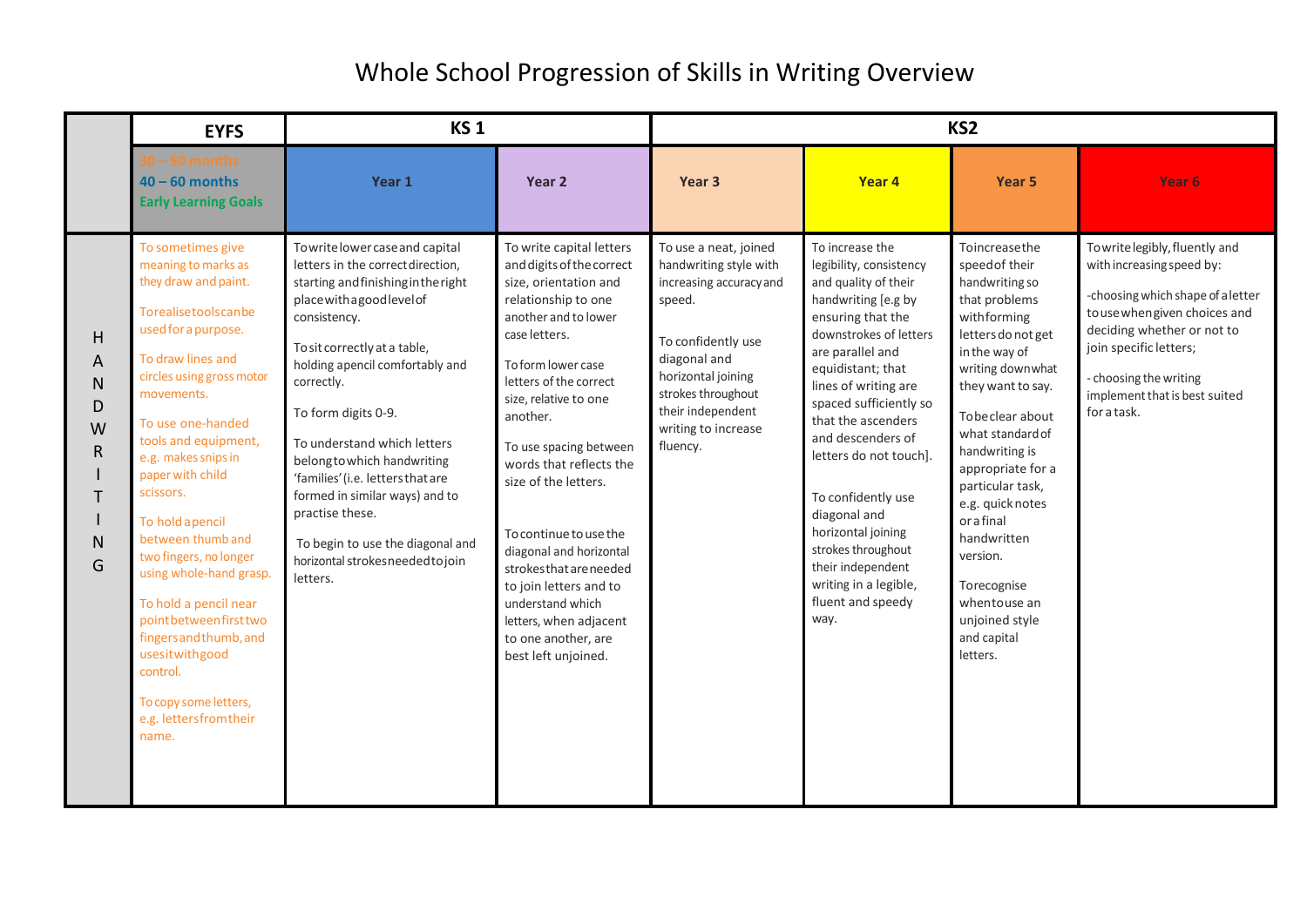|                                                 | <b>EYFS</b>                                                                                                                                                                                                                                                                                                                                                                                                                                                                                                                                          | <b>KS1</b>                                                                                                                                                                                                                                                                                                                                                                                                                                                                                                   |                                                                                                                                                                                                                                                                                                                                                                                                                                                                                                                        | KS <sub>2</sub>                                                                                                                                                                                                                |                                                                                                                                                                                                                                                                                                                                                                                                                                                                       |                                                                                                                                                                                                                                                                                                                                                                                                             |                                                                                                                                                                                                                                                                    |  |
|-------------------------------------------------|------------------------------------------------------------------------------------------------------------------------------------------------------------------------------------------------------------------------------------------------------------------------------------------------------------------------------------------------------------------------------------------------------------------------------------------------------------------------------------------------------------------------------------------------------|--------------------------------------------------------------------------------------------------------------------------------------------------------------------------------------------------------------------------------------------------------------------------------------------------------------------------------------------------------------------------------------------------------------------------------------------------------------------------------------------------------------|------------------------------------------------------------------------------------------------------------------------------------------------------------------------------------------------------------------------------------------------------------------------------------------------------------------------------------------------------------------------------------------------------------------------------------------------------------------------------------------------------------------------|--------------------------------------------------------------------------------------------------------------------------------------------------------------------------------------------------------------------------------|-----------------------------------------------------------------------------------------------------------------------------------------------------------------------------------------------------------------------------------------------------------------------------------------------------------------------------------------------------------------------------------------------------------------------------------------------------------------------|-------------------------------------------------------------------------------------------------------------------------------------------------------------------------------------------------------------------------------------------------------------------------------------------------------------------------------------------------------------------------------------------------------------|--------------------------------------------------------------------------------------------------------------------------------------------------------------------------------------------------------------------------------------------------------------------|--|
|                                                 | 0 – 50 months<br>$40 - 60$ months<br><b>Early Learning Goals</b>                                                                                                                                                                                                                                                                                                                                                                                                                                                                                     | Year 1                                                                                                                                                                                                                                                                                                                                                                                                                                                                                                       | Year 2                                                                                                                                                                                                                                                                                                                                                                                                                                                                                                                 | Year <sub>3</sub>                                                                                                                                                                                                              | Year 4                                                                                                                                                                                                                                                                                                                                                                                                                                                                | Year 5                                                                                                                                                                                                                                                                                                                                                                                                      | Year 6                                                                                                                                                                                                                                                             |  |
| H<br>A<br>N<br>D<br>W<br>R<br>$\mathsf{N}$<br>G | To sometimes give<br>meaning to marks as<br>they draw and paint.<br>Torealisetoolscanbe<br>used for a purpose.<br>To draw lines and<br>circles using gross motor<br>movements.<br>To use one-handed<br>tools and equipment,<br>e.g. makes snips in<br>paper with child<br>scissors.<br>To hold apencil<br>between thumb and<br>two fingers, no longer<br>using whole-hand grasp.<br>To hold a pencil near<br>pointbetweenfirsttwo<br>fingers and thumb, and<br>usesitwithgood<br>control.<br>To copy some letters,<br>e.g. lettersfromtheir<br>name. | Towrite lower case and capital<br>letters in the correct direction,<br>starting and finishing in the right<br>place with a goodlevel of<br>consistency.<br>To sit correctly at a table,<br>holding apencil comfortably and<br>correctly.<br>To form digits 0-9.<br>To understand which letters<br>belong to which handwriting<br>'families' (i.e. letters that are<br>formed in similar ways) and to<br>practise these.<br>To begin to use the diagonal and<br>horizontal strokes needed to join<br>letters. | To write capital letters<br>and digits of the correct<br>size, orientation and<br>relationship to one<br>another and to lower<br>case letters.<br>To form lower case<br>letters of the correct<br>size, relative to one<br>another.<br>To use spacing between<br>words that reflects the<br>size of the letters.<br>To continue to use the<br>diagonal and horizontal<br>strokes that are needed<br>to join letters and to<br>understand which<br>letters, when adjacent<br>to one another, are<br>best left unjoined. | To use a neat, joined<br>handwriting style with<br>increasing accuracy and<br>speed.<br>To confidently use<br>diagonal and<br>horizontal joining<br>strokes throughout<br>their independent<br>writing to increase<br>fluency. | To increase the<br>legibility, consistency<br>and quality of their<br>handwriting [e.g by<br>ensuring that the<br>downstrokes of letters<br>are parallel and<br>equidistant; that<br>lines of writing are<br>spaced sufficiently so<br>that the ascenders<br>and descenders of<br>letters do not touch].<br>To confidently use<br>diagonal and<br>horizontal joining<br>strokes throughout<br>their independent<br>writing in a legible,<br>fluent and speedy<br>way. | Toincreasethe<br>speed of their<br>handwriting so<br>that problems<br>withforming<br>letters do not get<br>in the way of<br>writing downwhat<br>they want to say.<br>Tobe clear about<br>what standard of<br>handwriting is<br>appropriate for a<br>particular task,<br>e.g. quick notes<br>orafinal<br>handwritten<br>version.<br>Torecognise<br>whentouse an<br>unjoined style<br>and capital<br>letters. | Towrite legibly, fluently and<br>with increasing speed by:<br>-choosing which shape of a letter<br>to use when given choices and<br>deciding whether or not to<br>join specific letters;<br>- choosing the writing<br>implement that is best suited<br>for a task. |  |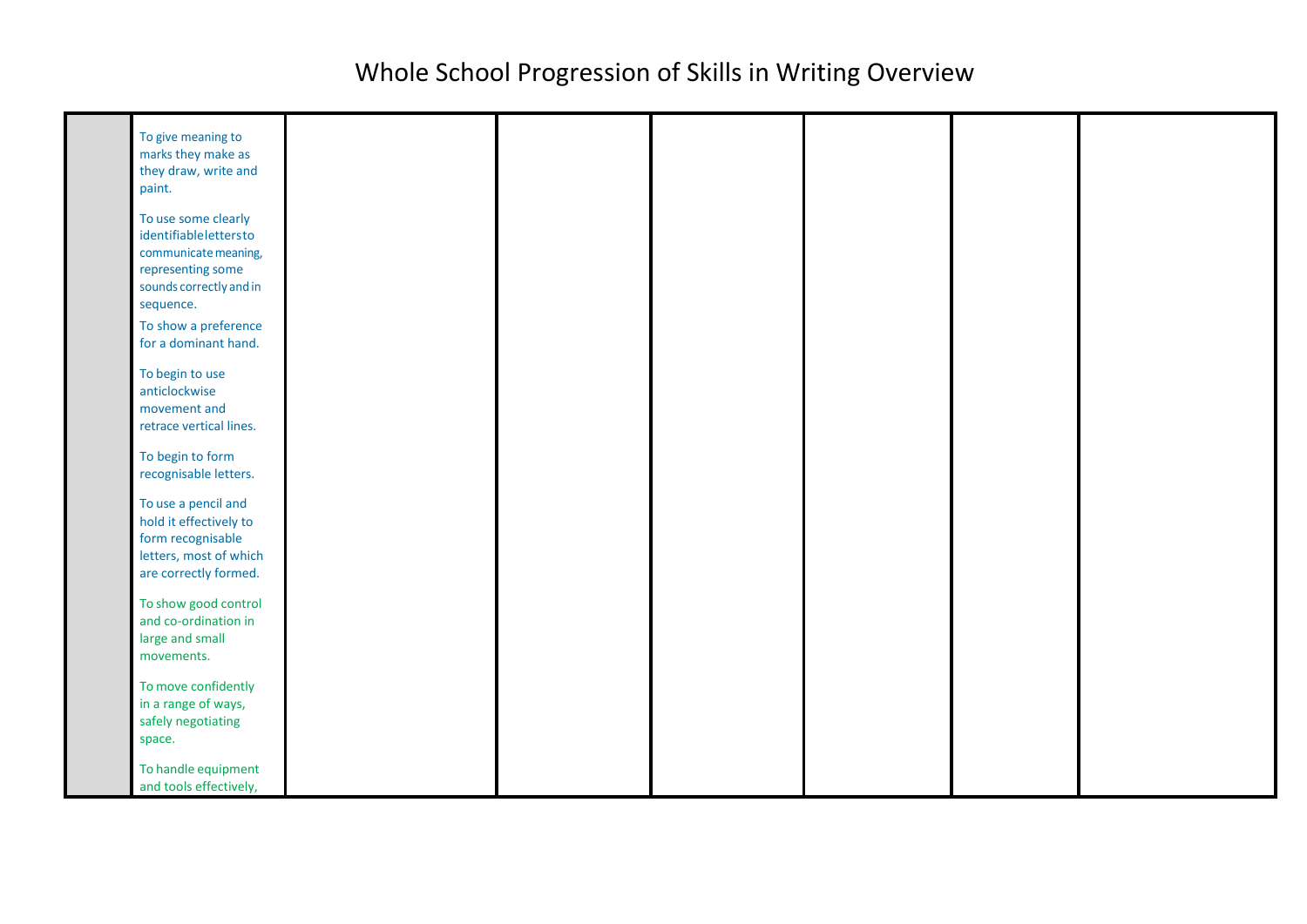| To give meaning to<br>marks they make as<br>they draw, write and<br>paint.                                                        |  |  |  |
|-----------------------------------------------------------------------------------------------------------------------------------|--|--|--|
| To use some clearly<br>identifiableIettersto<br>communicate meaning,<br>representing some<br>sounds correctly and in<br>sequence. |  |  |  |
| To show a preference<br>for a dominant hand.                                                                                      |  |  |  |
| To begin to use<br>anticlockwise<br>movement and<br>retrace vertical lines.                                                       |  |  |  |
| To begin to form<br>recognisable letters.                                                                                         |  |  |  |
| To use a pencil and<br>hold it effectively to<br>form recognisable<br>letters, most of which<br>are correctly formed.             |  |  |  |
| To show good control<br>and co-ordination in<br>large and small<br>movements.                                                     |  |  |  |
| To move confidently<br>in a range of ways,<br>safely negotiating<br>space.                                                        |  |  |  |
| To handle equipment<br>and tools effectively,                                                                                     |  |  |  |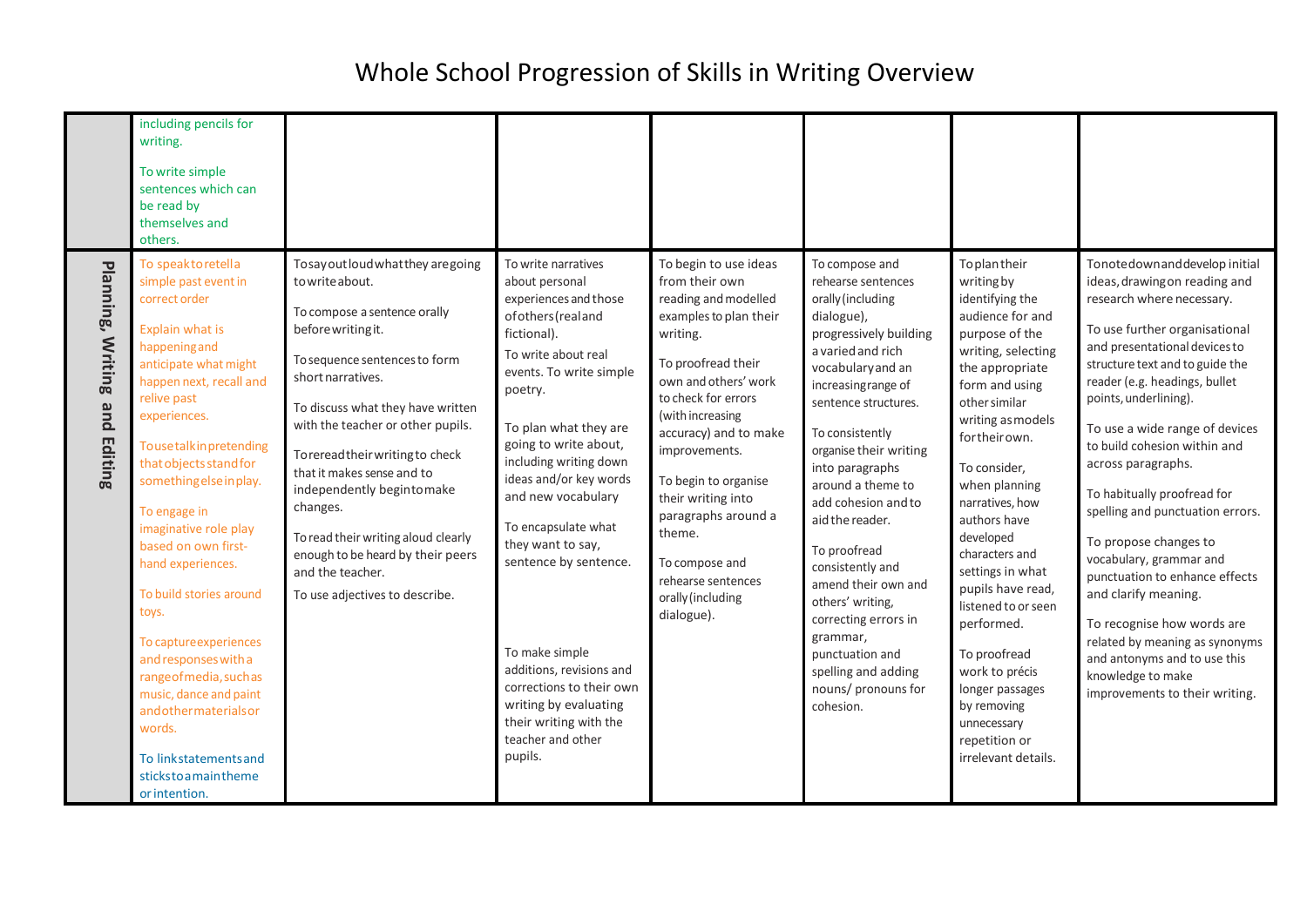|                                            | including pencils for<br>writing.<br>To write simple<br>sentences which can<br>be read by<br>themselves and<br>others.                                                                                                                                                                                                                                                                                                                                                                                                                                                                        |                                                                                                                                                                                                                                                                                                                                                                                                                                                                                         |                                                                                                                                                                                                                                                                                                                                                                                                                                                                                                                                 |                                                                                                                                                                                                                                                                                                                                                                                                    |                                                                                                                                                                                                                                                                                                                                                                                                                                                                                                                            |                                                                                                                                                                                                                                                                                                                                                                                                                                                                                                                 |                                                                                                                                                                                                                                                                                                                                                                                                                                                                                                                                                                                                                                                                                            |
|--------------------------------------------|-----------------------------------------------------------------------------------------------------------------------------------------------------------------------------------------------------------------------------------------------------------------------------------------------------------------------------------------------------------------------------------------------------------------------------------------------------------------------------------------------------------------------------------------------------------------------------------------------|-----------------------------------------------------------------------------------------------------------------------------------------------------------------------------------------------------------------------------------------------------------------------------------------------------------------------------------------------------------------------------------------------------------------------------------------------------------------------------------------|---------------------------------------------------------------------------------------------------------------------------------------------------------------------------------------------------------------------------------------------------------------------------------------------------------------------------------------------------------------------------------------------------------------------------------------------------------------------------------------------------------------------------------|----------------------------------------------------------------------------------------------------------------------------------------------------------------------------------------------------------------------------------------------------------------------------------------------------------------------------------------------------------------------------------------------------|----------------------------------------------------------------------------------------------------------------------------------------------------------------------------------------------------------------------------------------------------------------------------------------------------------------------------------------------------------------------------------------------------------------------------------------------------------------------------------------------------------------------------|-----------------------------------------------------------------------------------------------------------------------------------------------------------------------------------------------------------------------------------------------------------------------------------------------------------------------------------------------------------------------------------------------------------------------------------------------------------------------------------------------------------------|--------------------------------------------------------------------------------------------------------------------------------------------------------------------------------------------------------------------------------------------------------------------------------------------------------------------------------------------------------------------------------------------------------------------------------------------------------------------------------------------------------------------------------------------------------------------------------------------------------------------------------------------------------------------------------------------|
| Planning, Writing<br>pue<br><b>Editing</b> | To speaktoretella<br>simple past event in<br>correct order<br>Explain what is<br>happening and<br>anticipate what might<br>happen next, recall and<br>relive past<br>experiences.<br>Tousetalkinpretending<br>that objects stand for<br>something else in play.<br>To engage in<br>imaginative role play<br>based on own first-<br>hand experiences.<br>To build stories around<br>toys.<br>To capture experiences<br>and responses with a<br>rangeofmedia, suchas<br>music, dance and paint<br>andothermaterialsor<br>words.<br>To linkstatements and<br>stickstoamaintheme<br>or intention. | Tosay out loud what they are going<br>to write about.<br>To compose a sentence orally<br>before writing it.<br>To sequence sentences to form<br>short narratives.<br>To discuss what they have written<br>with the teacher or other pupils.<br>Toreread their writing to check<br>that it makes sense and to<br>independently begintomake<br>changes.<br>To read their writing aloud clearly<br>enough to be heard by their peers<br>and the teacher.<br>To use adjectives to describe. | To write narratives<br>about personal<br>experiences and those<br>of others (real and<br>fictional).<br>To write about real<br>events. To write simple<br>poetry.<br>To plan what they are<br>going to write about,<br>including writing down<br>ideas and/or key words<br>and new vocabulary<br>To encapsulate what<br>they want to say,<br>sentence by sentence.<br>To make simple<br>additions, revisions and<br>corrections to their own<br>writing by evaluating<br>their writing with the<br>teacher and other<br>pupils. | To begin to use ideas<br>from their own<br>reading and modelled<br>examples to plan their<br>writing.<br>To proofread their<br>own and others' work<br>to check for errors<br>(with increasing<br>accuracy) and to make<br>improvements.<br>To begin to organise<br>their writing into<br>paragraphs around a<br>theme.<br>To compose and<br>rehearse sentences<br>orally (including<br>dialogue). | To compose and<br>rehearse sentences<br>orally (including<br>dialogue),<br>progressively building<br>a varied and rich<br>vocabulary and an<br>increasing range of<br>sentence structures.<br>To consistently<br>organise their writing<br>into paragraphs<br>around a theme to<br>add cohesion and to<br>aid the reader.<br>To proofread<br>consistently and<br>amend their own and<br>others' writing,<br>correcting errors in<br>grammar,<br>punctuation and<br>spelling and adding<br>nouns/ pronouns for<br>cohesion. | Toplantheir<br>writing by<br>identifying the<br>audience for and<br>purpose of the<br>writing, selecting<br>the appropriate<br>form and using<br>other similar<br>writing as models<br>fortheirown.<br>To consider,<br>when planning<br>narratives, how<br>authors have<br>developed<br>characters and<br>settings in what<br>pupils have read,<br>listened to or seen<br>performed.<br>To proofread<br>work to précis<br>longer passages<br>by removing<br>unnecessary<br>repetition or<br>irrelevant details. | Tonotedownand develop initial<br>ideas, drawing on reading and<br>research where necessary.<br>To use further organisational<br>and presentational devices to<br>structure text and to guide the<br>reader (e.g. headings, bullet<br>points, underlining).<br>To use a wide range of devices<br>to build cohesion within and<br>across paragraphs.<br>To habitually proofread for<br>spelling and punctuation errors.<br>To propose changes to<br>vocabulary, grammar and<br>punctuation to enhance effects<br>and clarify meaning.<br>To recognise how words are<br>related by meaning as synonyms<br>and antonyms and to use this<br>knowledge to make<br>improvements to their writing. |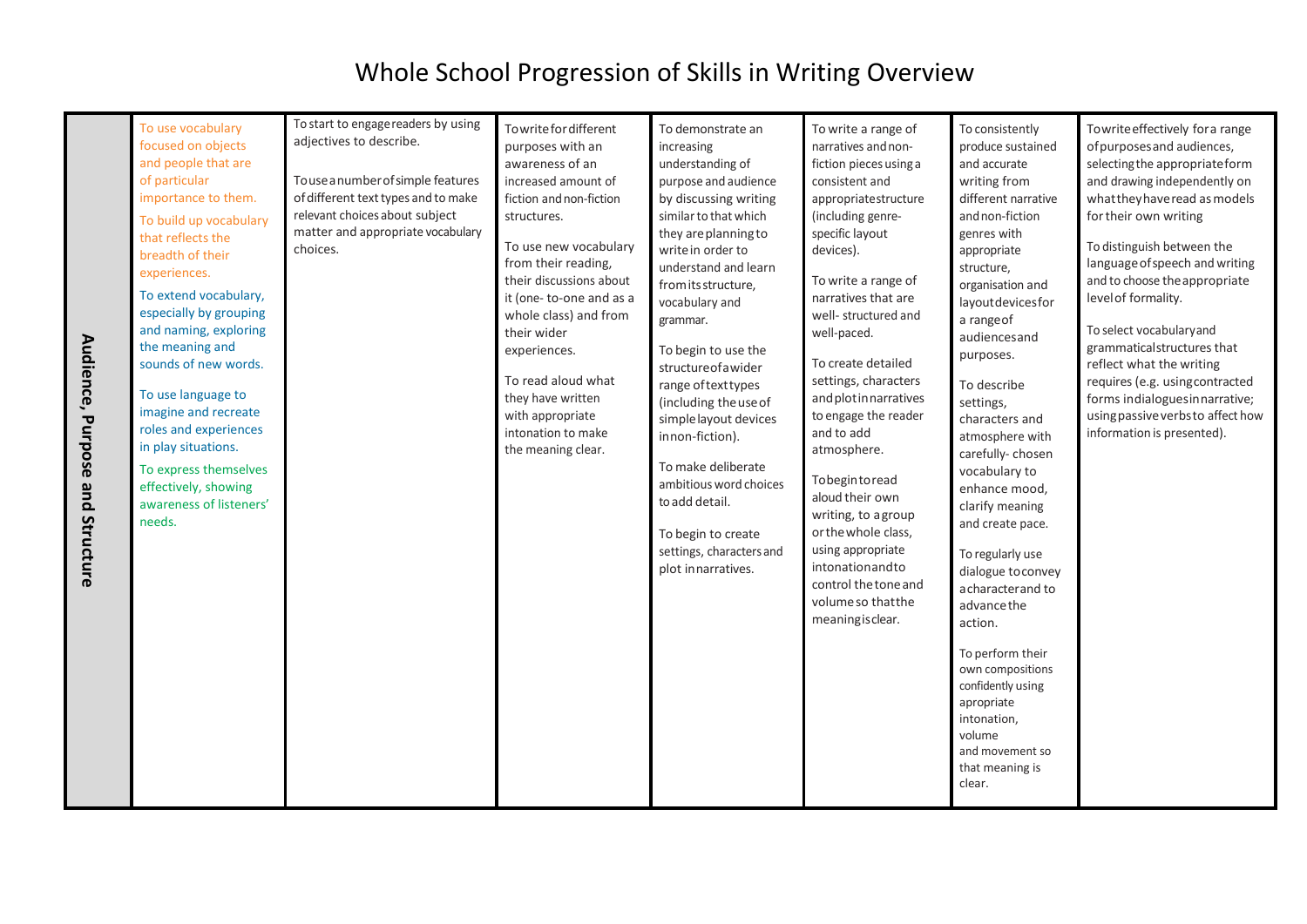| Audience,<br>Purpose | To use vocabulary<br>focused on objects<br>and people that are<br>of particular<br>importance to them.<br>To build up vocabulary<br>that reflects the<br>breadth of their<br>experiences.<br>To extend vocabulary,<br>especially by grouping<br>and naming, exploring<br>the meaning and<br>sounds of new words.<br>To use language to<br>imagine and recreate<br>roles and experiences<br>in play situations.<br>To express themselves<br>effectively, showing<br>awareness of listeners'<br>needs. | To start to engage readers by using<br>adjectives to describe.<br>Touse a number of simple features<br>of different text types and to make<br>relevant choices about subject<br>matter and appropriate vocabulary<br>choices. | Towrite for different<br>purposes with an<br>awareness of an<br>increased amount of<br>fiction and non-fiction<br>structures.<br>To use new vocabulary<br>from their reading,<br>their discussions about<br>it (one-to-one and as a<br>whole class) and from<br>their wider<br>experiences.<br>To read aloud what<br>they have written<br>with appropriate<br>intonation to make<br>the meaning clear. | To demonstrate an<br>increasing<br>understanding of<br>purpose and audience<br>by discussing writing<br>similar to that which<br>they are planning to<br>write in order to<br>understand and learn<br>from its structure,<br>vocabulary and<br>grammar.<br>To begin to use the<br>structure of a wider<br>range of text types<br>(including the use of<br>simple layout devices<br>innon-fiction).<br>To make deliberate<br>ambitious word choices<br>to add detail. | To write a range of<br>narratives and non-<br>fiction pieces using a<br>consistent and<br>appropriatestructure<br>(including genre-<br>specific layout<br>devices).<br>To write a range of<br>narratives that are<br>well- structured and<br>well-paced.<br>To create detailed<br>settings, characters<br>and plot in narratives<br>to engage the reader<br>and to add<br>atmosphere.<br>Tobegintoread<br>aloud their own<br>writing, to agroup<br>or the whole class, | To consistently<br>produce sustained<br>and accurate<br>writing from<br>different narrative<br>and non-fiction<br>genres with<br>appropriate<br>structure,<br>organisation and<br>layoutdevicesfor<br>a range of<br>audiencesand<br>purposes.<br>To describe<br>settings,<br>characters and<br>atmosphere with<br>carefully-chosen<br>vocabulary to<br>enhance mood,<br>clarify meaning<br>and create pace. | Towrite effectively for a range<br>of purposes and audiences,<br>selecting the appropriate form<br>and drawing independently on<br>what they have read as models<br>for their own writing<br>To distinguish between the<br>language of speech and writing<br>and to choose the appropriate<br>level of formality.<br>To select vocabulary and<br>grammaticalstructures that<br>reflect what the writing<br>requires (e.g. usingcontracted<br>forms indialoguesinnarrative;<br>using passive verbs to affect how<br>information is presented). |
|----------------------|------------------------------------------------------------------------------------------------------------------------------------------------------------------------------------------------------------------------------------------------------------------------------------------------------------------------------------------------------------------------------------------------------------------------------------------------------------------------------------------------------|-------------------------------------------------------------------------------------------------------------------------------------------------------------------------------------------------------------------------------|--------------------------------------------------------------------------------------------------------------------------------------------------------------------------------------------------------------------------------------------------------------------------------------------------------------------------------------------------------------------------------------------------------|----------------------------------------------------------------------------------------------------------------------------------------------------------------------------------------------------------------------------------------------------------------------------------------------------------------------------------------------------------------------------------------------------------------------------------------------------------------------|------------------------------------------------------------------------------------------------------------------------------------------------------------------------------------------------------------------------------------------------------------------------------------------------------------------------------------------------------------------------------------------------------------------------------------------------------------------------|-------------------------------------------------------------------------------------------------------------------------------------------------------------------------------------------------------------------------------------------------------------------------------------------------------------------------------------------------------------------------------------------------------------|-----------------------------------------------------------------------------------------------------------------------------------------------------------------------------------------------------------------------------------------------------------------------------------------------------------------------------------------------------------------------------------------------------------------------------------------------------------------------------------------------------------------------------------------------|
| and Structure        |                                                                                                                                                                                                                                                                                                                                                                                                                                                                                                      |                                                                                                                                                                                                                               |                                                                                                                                                                                                                                                                                                                                                                                                        | To begin to create<br>settings, characters and<br>plot innarratives.                                                                                                                                                                                                                                                                                                                                                                                                 | using appropriate<br>intonationandto<br>control the tone and<br>volume so that the<br>meaning is clear.                                                                                                                                                                                                                                                                                                                                                                | To regularly use<br>dialogue to convey<br>acharacter and to<br>advance the<br>action.<br>To perform their<br>own compositions<br>confidently using<br>apropriate<br>intonation,<br>volume<br>and movement so<br>that meaning is<br>clear.                                                                                                                                                                   |                                                                                                                                                                                                                                                                                                                                                                                                                                                                                                                                               |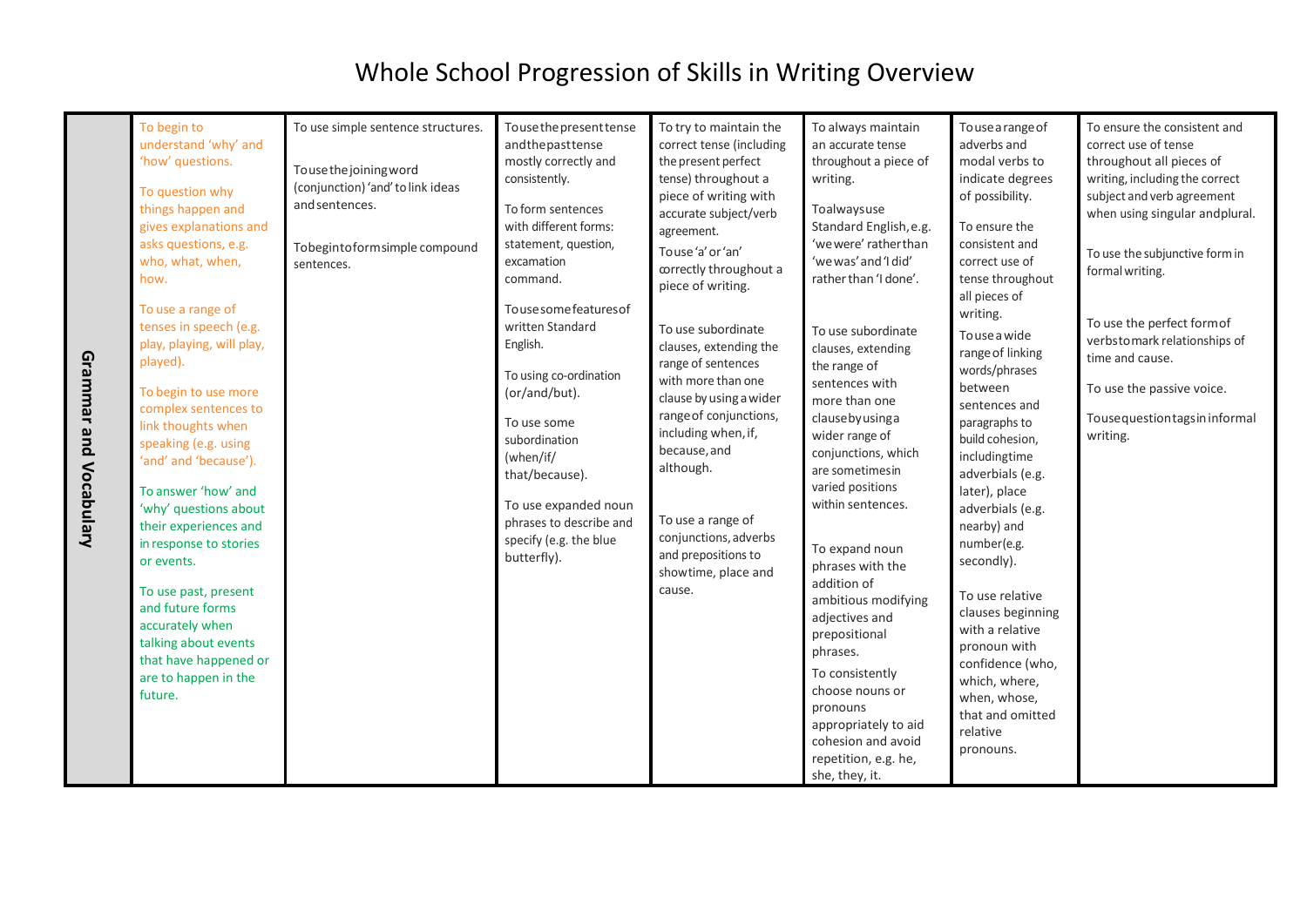|                        | To begin to<br>understand 'why' and<br>'how' questions.<br>To question why<br>things happen and<br>gives explanations and<br>asks questions, e.g.<br>who, what, when,                                                                                                                                                                                                                                                                                                                   | To use simple sentence structures.<br>Touse the joining word<br>(conjunction) 'and' to link ideas<br>and sentences.<br>Tobegintoform simple compound<br>sentences. | Tousethepresenttense<br>andthepasttense<br>mostly correctly and<br>consistently.<br>To form sentences<br>with different forms:<br>statement, question,<br>excamation                                                                                                  | To try to maintain the<br>correct tense (including<br>the present perfect<br>tense) throughout a<br>piece of writing with<br>accurate subject/verb<br>agreement.<br>Touse'a' or 'an'                                                                                                                                                                   | To always maintain<br>an accurate tense<br>throughout a piece of<br>writing.<br>Toalwaysuse<br>Standard English, e.g.<br>'we were' rather than<br>'we was' and 'I did'                                                                                                                                                                                                                                                                                                                                           | To use a range of<br>adverbs and<br>modal verbs to<br>indicate degrees<br>of possibility.<br>To ensure the<br>consistent and<br>correct use of                                                                                                                                                                                                                                                                                                                         | To ensure the consistent and<br>correct use of tense<br>throughout all pieces of<br>writing, including the correct<br>subject and verb agreement<br>when using singular andplural.<br>To use the subjunctive form in |
|------------------------|-----------------------------------------------------------------------------------------------------------------------------------------------------------------------------------------------------------------------------------------------------------------------------------------------------------------------------------------------------------------------------------------------------------------------------------------------------------------------------------------|--------------------------------------------------------------------------------------------------------------------------------------------------------------------|-----------------------------------------------------------------------------------------------------------------------------------------------------------------------------------------------------------------------------------------------------------------------|--------------------------------------------------------------------------------------------------------------------------------------------------------------------------------------------------------------------------------------------------------------------------------------------------------------------------------------------------------|------------------------------------------------------------------------------------------------------------------------------------------------------------------------------------------------------------------------------------------------------------------------------------------------------------------------------------------------------------------------------------------------------------------------------------------------------------------------------------------------------------------|------------------------------------------------------------------------------------------------------------------------------------------------------------------------------------------------------------------------------------------------------------------------------------------------------------------------------------------------------------------------------------------------------------------------------------------------------------------------|----------------------------------------------------------------------------------------------------------------------------------------------------------------------------------------------------------------------|
| Grammar and Vocabulary | how.<br>To use a range of<br>tenses in speech (e.g.<br>play, playing, will play,<br>played).<br>To begin to use more<br>complex sentences to<br>link thoughts when<br>speaking (e.g. using<br>'and' and 'because').<br>To answer 'how' and<br>'why' questions about<br>their experiences and<br>in response to stories<br>or events.<br>To use past, present<br>and future forms<br>accurately when<br>talking about events<br>that have happened or<br>are to happen in the<br>future. |                                                                                                                                                                    | command.<br>Tousesomefeaturesof<br>written Standard<br>English.<br>To using co-ordination<br>(or/and/but).<br>To use some<br>subordination<br>(when/if/<br>that/because).<br>To use expanded noun<br>phrases to describe and<br>specify (e.g. the blue<br>butterfly). | correctly throughout a<br>piece of writing.<br>To use subordinate<br>clauses, extending the<br>range of sentences<br>with more than one<br>clause by using a wider<br>range of conjunctions,<br>including when, if,<br>because, and<br>although.<br>To use a range of<br>conjunctions, adverbs<br>and prepositions to<br>showtime, place and<br>cause. | rather than 'I done'.<br>To use subordinate<br>clauses, extending<br>the range of<br>sentences with<br>more than one<br>clausebyusinga<br>wider range of<br>conjunctions, which<br>are sometimesin<br>varied positions<br>within sentences.<br>To expand noun<br>phrases with the<br>addition of<br>ambitious modifying<br>adjectives and<br>prepositional<br>phrases.<br>To consistently<br>choose nouns or<br>pronouns<br>appropriately to aid<br>cohesion and avoid<br>repetition, e.g. he,<br>she, they, it. | tense throughout<br>all pieces of<br>writing.<br>To use a wide<br>range of linking<br>words/phrases<br>between<br>sentences and<br>paragraphs to<br>build cohesion,<br>includingtime<br>adverbials (e.g.<br>later), place<br>adverbials (e.g.<br>nearby) and<br>number(e.g.<br>secondly).<br>To use relative<br>clauses beginning<br>with a relative<br>pronoun with<br>confidence (who,<br>which, where,<br>when, whose,<br>that and omitted<br>relative<br>pronouns. | formal writing.<br>To use the perfect formof<br>verbstomark relationships of<br>time and cause.<br>To use the passive voice.<br>Touse question tags in informal<br>writing.                                          |